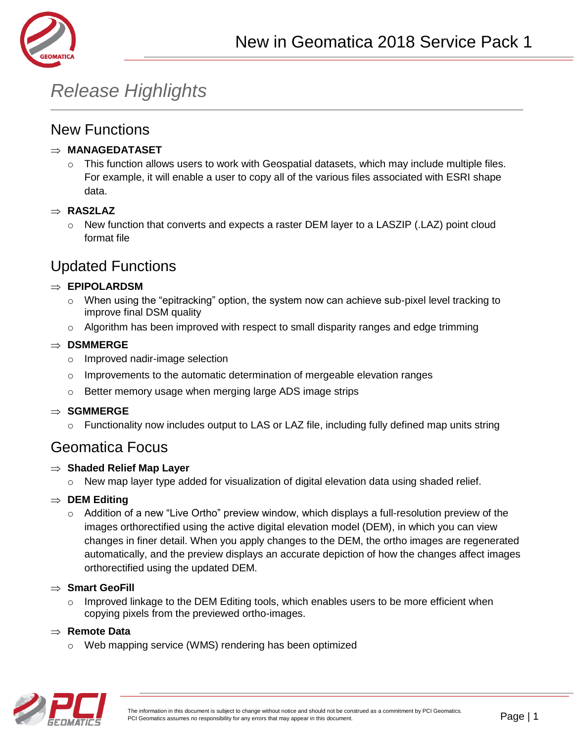

# *Release Highlights*

### New Functions

#### **MANAGEDATASET**

 $\circ$  This function allows users to work with Geospatial datasets, which may include multiple files. For example, it will enable a user to copy all of the various files associated with ESRI shape data.

#### **RAS2LAZ**

 $\circ$  New function that converts and expects a raster DEM layer to a LASZIP (.LAZ) point cloud format file

# Updated Functions

#### **EPIPOLARDSM**

- $\circ$  When using the "epitracking" option, the system now can achieve sub-pixel level tracking to improve final DSM quality
- $\circ$  Algorithm has been improved with respect to small disparity ranges and edge trimming

#### **DSMMERGE**

- o Improved nadir-image selection
- $\circ$  Improvements to the automatic determination of mergeable elevation ranges
- o Better memory usage when merging large ADS image strips

#### **⇒ SGMMERGE**

 $\circ$  Functionality now includes output to LAS or LAZ file, including fully defined map units string

### Geomatica Focus

#### **Shaded Relief Map Layer**

 $\circ$  New map layer type added for visualization of digital elevation data using shaded relief.

#### $\Rightarrow$  **DEM Editing**

 $\circ$  Addition of a new "Live Ortho" preview window, which displays a full-resolution preview of the images orthorectified using the active digital elevation model (DEM), in which you can view changes in finer detail. When you apply changes to the DEM, the ortho images are regenerated automatically, and the preview displays an accurate depiction of how the changes affect images orthorectified using the updated DEM.

#### **Smart GeoFill**

 $\circ$  Improved linkage to the DEM Editing tools, which enables users to be more efficient when copying pixels from the previewed ortho-images.

#### **Remote Data**

o Web mapping service (WMS) rendering has been optimized